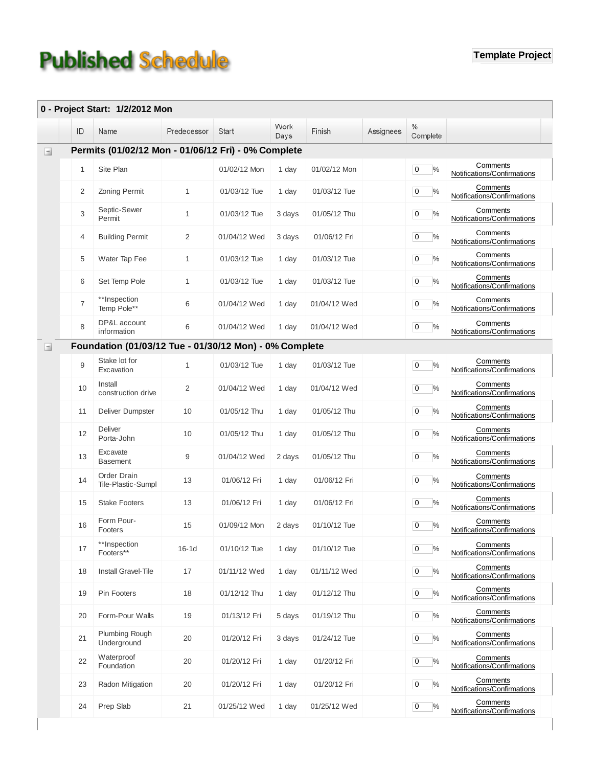## **Published Schedule**

|        |                                                        | 0 - Project Start: 1/2/2012 Mon   |                |              | Work   |              |           | $\%$                   |                                         |  |  |
|--------|--------------------------------------------------------|-----------------------------------|----------------|--------------|--------|--------------|-----------|------------------------|-----------------------------------------|--|--|
|        | ID                                                     | Name                              | Predecessor    | Start        | Days   | Finish       | Assignees | Complete               |                                         |  |  |
|        | Permits (01/02/12 Mon - 01/06/12 Fri) - 0% Complete    |                                   |                |              |        |              |           |                        |                                         |  |  |
|        | 1                                                      | Site Plan                         |                | 01/02/12 Mon | 1 day  | 01/02/12 Mon |           | $\overline{0}$<br>$\%$ | Comments<br>Notifications/Confirmations |  |  |
|        | 2                                                      | Zoning Permit                     | $\mathbf{1}$   | 01/03/12 Tue | 1 day  | 01/03/12 Tue |           | $\overline{0}$<br>$\%$ | Comments<br>Notifications/Confirmations |  |  |
|        | 3                                                      | Septic-Sewer<br>Permit            | $\mathbf{1}$   | 01/03/12 Tue | 3 days | 01/05/12 Thu |           | $\overline{0}$<br>$\%$ | Comments<br>Notifications/Confirmations |  |  |
|        | 4                                                      | <b>Building Permit</b>            | 2              | 01/04/12 Wed | 3 days | 01/06/12 Fri |           | 0<br>$\%$              | Comments<br>Notifications/Confirmations |  |  |
|        | 5                                                      | Water Tap Fee                     | $\mathbf{1}$   | 01/03/12 Tue | 1 day  | 01/03/12 Tue |           | $\overline{0}$<br>$\%$ | Comments<br>Notifications/Confirmations |  |  |
|        | 6                                                      | Set Temp Pole                     | $\mathbf{1}$   | 01/03/12 Tue | 1 day  | 01/03/12 Tue |           | $\overline{0}$<br>$\%$ | Comments<br>Notifications/Confirmations |  |  |
|        | $\overline{7}$                                         | **Inspection<br>Temp Pole**       | 6              | 01/04/12 Wed | 1 day  | 01/04/12 Wed |           | $\overline{0}$<br>$\%$ | Comments<br>Notifications/Confirmations |  |  |
|        | 8                                                      | DP&L account<br>information       | 6              | 01/04/12 Wed | 1 day  | 01/04/12 Wed |           | 0<br>$\%$              | Comments<br>Notifications/Confirmations |  |  |
|        | Foundation (01/03/12 Tue - 01/30/12 Mon) - 0% Complete |                                   |                |              |        |              |           |                        |                                         |  |  |
| $\Box$ | 9                                                      | Stake lot for<br>Excavation       | $\mathbf{1}$   | 01/03/12 Tue | 1 day  | 01/03/12 Tue |           | $\overline{0}$<br>$\%$ | Comments<br>Notifications/Confirmations |  |  |
|        | 10                                                     | Install<br>construction drive     | $\overline{2}$ | 01/04/12 Wed | 1 day  | 01/04/12 Wed |           | $\overline{0}$<br>$\%$ | Comments<br>Notifications/Confirmations |  |  |
|        | 11                                                     | Deliver Dumpster                  | 10             | 01/05/12 Thu | 1 day  | 01/05/12 Thu |           | $\overline{0}$<br>$\%$ | Comments<br>Notifications/Confirmations |  |  |
|        | 12                                                     | Deliver<br>Porta-John             | 10             | 01/05/12 Thu | 1 day  | 01/05/12 Thu |           | $\pmb{0}$<br>$\%$      | Comments<br>Notifications/Confirmations |  |  |
|        | 13                                                     | Excavate<br><b>Basement</b>       | 9              | 01/04/12 Wed | 2 days | 01/05/12 Thu |           | $\pmb{0}$<br>$\%$      | Comments<br>Notifications/Confirmations |  |  |
|        | 14                                                     | Order Drain<br>Tile-Plastic-Sumpl | 13             | 01/06/12 Fri | 1 day  | 01/06/12 Fri |           | 0<br>$\%$              | Comments<br>Notifications/Confirmations |  |  |
|        | 15                                                     | <b>Stake Footers</b>              | 13             | 01/06/12 Fri | 1 day  | 01/06/12 Fri |           | 0<br>$\%$              | Comments<br>Notifications/Confirmations |  |  |
|        | 16                                                     | Form Pour-<br>Footers             | 15             | 01/09/12 Mon | 2 days | 01/10/12 Tue |           | 0<br>$\%$              | Comments<br>Notifications/Confirmations |  |  |
|        | 17                                                     | **Inspection<br>Footers**         | $16-1d$        | 01/10/12 Tue | 1 day  | 01/10/12 Tue |           | $\pmb{0}$<br>%         | Comments<br>Notifications/Confirmations |  |  |
|        | 18                                                     | Install Gravel-Tile               | 17             | 01/11/12 Wed | 1 day  | 01/11/12 Wed |           | $\overline{0}$<br>$\%$ | Comments<br>Notifications/Confirmations |  |  |
|        | 19                                                     | Pin Footers                       | 18             | 01/12/12 Thu | 1 day  | 01/12/12 Thu |           | $\overline{0}$<br>$\%$ | Comments<br>Notifications/Confirmations |  |  |
|        | 20                                                     | Form-Pour Walls                   | 19             | 01/13/12 Fri | 5 days | 01/19/12 Thu |           | $\overline{0}$<br>%    | Comments<br>Notifications/Confirmations |  |  |
|        | 21                                                     | Plumbing Rough<br>Underground     | 20             | 01/20/12 Fri | 3 days | 01/24/12 Tue |           | $\overline{0}$<br>$\%$ | Comments<br>Notifications/Confirmations |  |  |
|        | 22                                                     | Waterproof<br>Foundation          | 20             | 01/20/12 Fri | 1 day  | 01/20/12 Fri |           | $\overline{0}$<br>$\%$ | Comments<br>Notifications/Confirmations |  |  |
|        | 23                                                     | Radon Mitigation                  | 20             | 01/20/12 Fri | 1 day  | 01/20/12 Fri |           | $\overline{0}$<br>$\%$ | Comments<br>Notifications/Confirmations |  |  |
|        | 24                                                     | Prep Slab                         | 21             | 01/25/12 Wed | 1 day  | 01/25/12 Wed |           | $\overline{0}$<br>$\%$ | Comments<br>Notifications/Confirmations |  |  |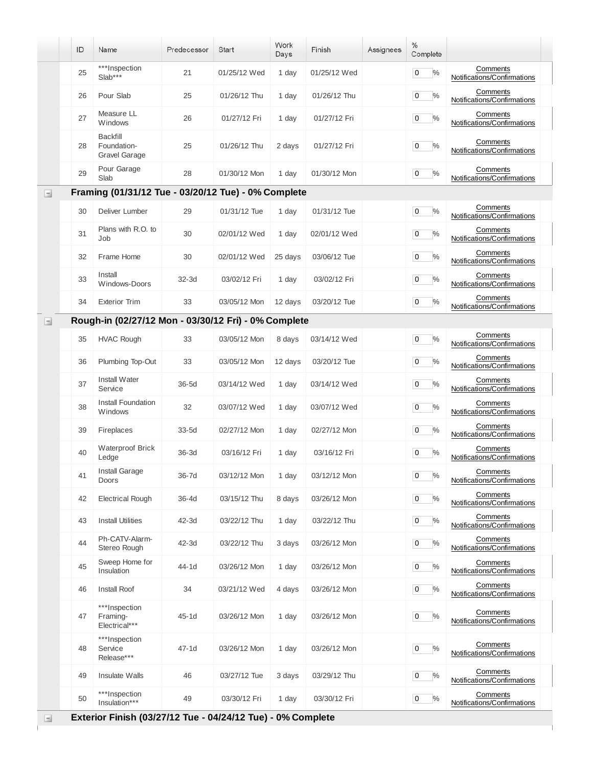|        | ID | Name                                                        | Predecessor | Start        | Work<br>Days | Finish       | Assignees | %<br>Complete                |                                         |
|--------|----|-------------------------------------------------------------|-------------|--------------|--------------|--------------|-----------|------------------------------|-----------------------------------------|
|        | 25 | ***Inspection<br>$Slab***$                                  | 21          | 01/25/12 Wed | 1 day        | 01/25/12 Wed |           | $\frac{0}{0}$<br>0           | Comments<br>Notifications/Confirmations |
|        | 26 | Pour Slab                                                   | 25          | 01/26/12 Thu | 1 day        | 01/26/12 Thu |           | %<br>0                       | Comments<br>Notifications/Confirmations |
|        | 27 | Measure LL<br>Windows                                       | 26          | 01/27/12 Fri | 1 day        | 01/27/12 Fri |           | $\%$<br>0                    | Comments<br>Notifications/Confirmations |
|        | 28 | <b>Backfill</b><br>Foundation-<br><b>Gravel Garage</b>      | 25          | 01/26/12 Thu | 2 days       | 01/27/12 Fri |           | $\%$<br>0                    | Comments<br>Notifications/Confirmations |
|        | 29 | Pour Garage<br>Slab                                         | 28          | 01/30/12 Mon | 1 day        | 01/30/12 Mon |           | $\mathbf 0$<br>$\frac{0}{0}$ | Comments<br>Notifications/Confirmations |
| ⊟      |    | Framing (01/31/12 Tue - 03/20/12 Tue) - 0% Complete         |             |              |              |              |           |                              |                                         |
|        | 30 | Deliver Lumber                                              | 29          | 01/31/12 Tue | 1 day        | 01/31/12 Tue |           | $\%$<br>0                    | Comments<br>Notifications/Confirmations |
|        | 31 | Plans with R.O. to<br>Job                                   | 30          | 02/01/12 Wed | 1 day        | 02/01/12 Wed |           | $\%$<br>$\mathbf 0$          | Comments<br>Notifications/Confirmations |
|        | 32 | Frame Home                                                  | 30          | 02/01/12 Wed | 25 days      | 03/06/12 Tue |           | $\mathbf 0$<br>$\%$          | Comments<br>Notifications/Confirmations |
|        | 33 | Install<br>Windows-Doors                                    | $32-3d$     | 03/02/12 Fri | 1 day        | 03/02/12 Fri |           | $\frac{0}{0}$<br>0           | Comments<br>Notifications/Confirmations |
|        | 34 | <b>Exterior Trim</b>                                        | 33          | 03/05/12 Mon | 12 days      | 03/20/12 Tue |           | $\frac{0}{0}$<br>0           | Comments<br>Notifications/Confirmations |
| $\Box$ |    | Rough-in (02/27/12 Mon - 03/30/12 Fri) - 0% Complete        |             |              |              |              |           |                              |                                         |
|        | 35 | <b>HVAC Rough</b>                                           | 33          | 03/05/12 Mon | 8 days       | 03/14/12 Wed |           | $\%$<br>0                    | Comments<br>Notifications/Confirmations |
|        | 36 | Plumbing Top-Out                                            | 33          | 03/05/12 Mon | 12 days      | 03/20/12 Tue |           | $\%$<br>$\mathbf 0$          | Comments<br>Notifications/Confirmations |
|        | 37 | <b>Install Water</b><br>Service                             | 36-5d       | 03/14/12 Wed | 1 day        | 03/14/12 Wed |           | $\%$<br>0                    | Comments<br>Notifications/Confirmations |
|        | 38 | Install Foundation<br>Windows                               | 32          | 03/07/12 Wed | 1 day        | 03/07/12 Wed |           | $\frac{0}{0}$<br>0           | Comments<br>Notifications/Confirmations |
|        | 39 | Fireplaces                                                  | $33-5d$     | 02/27/12 Mon | 1 day        | 02/27/12 Mon |           | $\%$<br>0                    | Comments<br>Notifications/Confirmations |
|        | 40 | <b>Waterproof Brick</b><br>Ledge                            | $36-3d$     | 03/16/12 Fri | 1 day        | 03/16/12 Fri |           | $\frac{0}{0}$<br>0           | Comments<br>Notifications/Confirmations |
|        | 41 | <b>Install Garage</b><br>Doors                              | 36-7d       | 03/12/12 Mon | 1 day        | 03/12/12 Mon |           | $\%$<br>0                    | Comments<br>Notifications/Confirmations |
|        | 42 | <b>Electrical Rough</b>                                     | $36-4d$     | 03/15/12 Thu | 8 days       | 03/26/12 Mon |           | $\bf{0}$<br>$\%$             | Comments<br>Notifications/Confirmations |
|        | 43 | <b>Install Utilities</b>                                    | 42-3d       | 03/22/12 Thu | 1 day        | 03/22/12 Thu |           | $\%$<br>0                    | Comments<br>Notifications/Confirmations |
|        | 44 | Ph-CATV-Alarm-<br>Stereo Rough                              | 42-3d       | 03/22/12 Thu | 3 days       | 03/26/12 Mon |           | $\%$<br>0                    | Comments<br>Notifications/Confirmations |
|        | 45 | Sweep Home for<br>Insulation                                | 44-1d       | 03/26/12 Mon | 1 day        | 03/26/12 Mon |           | %<br>0                       | Comments<br>Notifications/Confirmations |
|        | 46 | Install Roof                                                | 34          | 03/21/12 Wed | 4 days       | 03/26/12 Mon |           | $\%$<br>0                    | Comments<br>Notifications/Confirmations |
|        | 47 | ***Inspection<br>Framing-<br>Electrical***                  | 45-1d       | 03/26/12 Mon | 1 day        | 03/26/12 Mon |           | $\%$<br>0                    | Comments<br>Notifications/Confirmations |
|        | 48 | ***Inspection<br>Service<br>Release***                      | $47-1d$     | 03/26/12 Mon | 1 day        | 03/26/12 Mon |           | $\%$<br>0                    | Comments<br>Notifications/Confirmations |
|        | 49 | Insulate Walls                                              | 46          | 03/27/12 Tue | 3 days       | 03/29/12 Thu |           | $\mathbf 0$<br>$\%$          | Comments<br>Notifications/Confirmations |
|        | 50 | ***Inspection<br>Insulation***                              | 49          | 03/30/12 Fri | 1 day        | 03/30/12 Fri |           | $\%$<br>0                    | Comments<br>Notifications/Confirmations |
| Ξ      |    | Exterior Finish (03/27/12 Tue - 04/24/12 Tue) - 0% Complete |             |              |              |              |           |                              |                                         |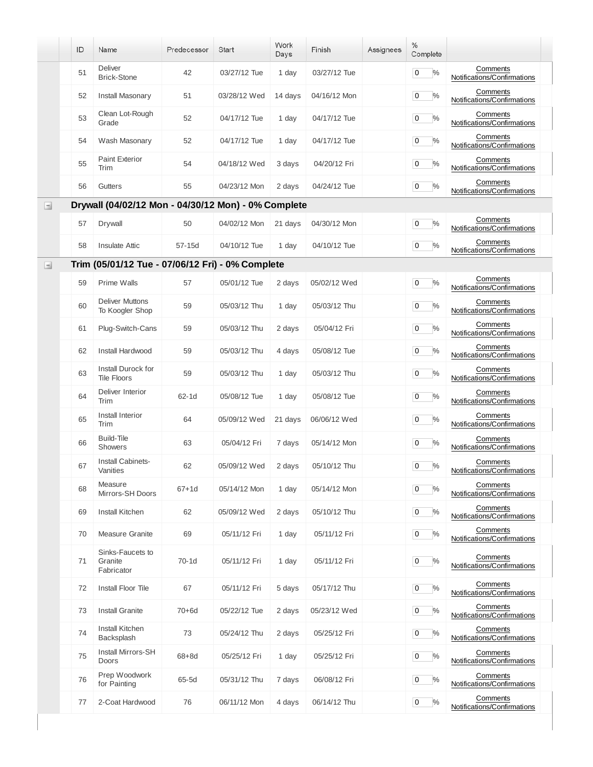|          | ID                                                  | Name                                             | Predecessor | <b>Start</b> | Work<br>Days | Finish       | Assignees | %<br>Complete                   |                                         |  |  |  |
|----------|-----------------------------------------------------|--------------------------------------------------|-------------|--------------|--------------|--------------|-----------|---------------------------------|-----------------------------------------|--|--|--|
|          | 51                                                  | Deliver<br><b>Brick-Stone</b>                    | 42          | 03/27/12 Tue | 1 day        | 03/27/12 Tue |           | $\frac{0}{0}$<br>0              | Comments<br>Notifications/Confirmations |  |  |  |
|          | 52                                                  | <b>Install Masonary</b>                          | 51          | 03/28/12 Wed | 14 days      | 04/16/12 Mon |           | $\frac{0}{0}$<br>0              | Comments<br>Notifications/Confirmations |  |  |  |
|          | 53                                                  | Clean Lot-Rough<br>Grade                         | 52          | 04/17/12 Tue | 1 day        | 04/17/12 Tue |           | $\%$<br>0                       | Comments<br>Notifications/Confirmations |  |  |  |
|          | 54                                                  | Wash Masonary                                    | 52          | 04/17/12 Tue | 1 day        | 04/17/12 Tue |           | $\%$<br>$\mathbf 0$             | Comments<br>Notifications/Confirmations |  |  |  |
|          | 55                                                  | <b>Paint Exterior</b><br>Trim                    | 54          | 04/18/12 Wed | 3 days       | 04/20/12 Fri |           | $\overline{0}$<br>$\%$          | Comments<br>Notifications/Confirmations |  |  |  |
|          | 56                                                  | Gutters                                          | 55          | 04/23/12 Mon | 2 days       | 04/24/12 Tue |           | $\frac{0}{0}$<br>$\overline{0}$ | Comments<br>Notifications/Confirmations |  |  |  |
| $\equiv$ | Drywall (04/02/12 Mon - 04/30/12 Mon) - 0% Complete |                                                  |             |              |              |              |           |                                 |                                         |  |  |  |
|          | 57                                                  | Drywall                                          | 50          | 04/02/12 Mon | 21 days      | 04/30/12 Mon |           | $\%$<br>$\mathbf 0$             | Comments<br>Notifications/Confirmations |  |  |  |
|          | 58                                                  | <b>Insulate Attic</b>                            | 57-15d      | 04/10/12 Tue | 1 day        | 04/10/12 Tue |           | $\%$<br>$\overline{0}$          | Comments<br>Notifications/Confirmations |  |  |  |
| $\Box$   |                                                     | Trim (05/01/12 Tue - 07/06/12 Fri) - 0% Complete |             |              |              |              |           |                                 |                                         |  |  |  |
|          | 59                                                  | Prime Walls                                      | 57          | 05/01/12 Tue | 2 days       | 05/02/12 Wed |           | $\overline{0}$<br>$\%$          | Comments<br>Notifications/Confirmations |  |  |  |
|          | 60                                                  | <b>Deliver Muttons</b><br>To Koogler Shop        | 59          | 05/03/12 Thu | 1 day        | 05/03/12 Thu |           | $\%$<br>0                       | Comments<br>Notifications/Confirmations |  |  |  |
|          | 61                                                  | Plug-Switch-Cans                                 | 59          | 05/03/12 Thu | 2 days       | 05/04/12 Fri |           | $\%$<br>$\mathbf 0$             | Comments<br>Notifications/Confirmations |  |  |  |
|          | 62                                                  | Install Hardwood                                 | 59          | 05/03/12 Thu | 4 days       | 05/08/12 Tue |           | $\overline{0}$<br>$\%$          | Comments<br>Notifications/Confirmations |  |  |  |
|          | 63                                                  | Install Durock for<br><b>Tile Floors</b>         | 59          | 05/03/12 Thu | 1 day        | 05/03/12 Thu |           | $\%$<br>$\overline{0}$          | Comments<br>Notifications/Confirmations |  |  |  |
|          | 64                                                  | Deliver Interior<br>Trim                         | 62-1d       | 05/08/12 Tue | 1 day        | 05/08/12 Tue |           | $\overline{0}$<br>$\%$          | Comments<br>Notifications/Confirmations |  |  |  |
|          | 65                                                  | Install Interior<br>Trim                         | 64          | 05/09/12 Wed | 21 days      | 06/06/12 Wed |           | $\overline{0}$<br>$\%$          | Comments<br>Notifications/Confirmations |  |  |  |
|          | 66                                                  | Build-Tile<br><b>Showers</b>                     | 63          | 05/04/12 Fri | 7 days       | 05/14/12 Mon |           | $\frac{0}{0}$<br>$\mathbf 0$    | Comments<br>Notifications/Confirmations |  |  |  |
|          | 67                                                  | Install Cabinets-<br>Vanities                    | 62          | 05/09/12 Wed | 2 days       | 05/10/12 Thu |           | 0<br>$\%$                       | Comments<br>Notifications/Confirmations |  |  |  |
|          | 68                                                  | Measure<br>Mirrors-SH Doors                      | $67 + 1d$   | 05/14/12 Mon | 1 day        | 05/14/12 Mon |           | 0<br>$\%$                       | Comments<br>Notifications/Confirmations |  |  |  |
|          | 69                                                  | Install Kitchen                                  | 62          | 05/09/12 Wed | 2 days       | 05/10/12 Thu |           | $\frac{0}{0}$<br>0              | Comments<br>Notifications/Confirmations |  |  |  |
|          | 70                                                  | <b>Measure Granite</b>                           | 69          | 05/11/12 Fri | 1 day        | 05/11/12 Fri |           | $\%$<br>0                       | Comments<br>Notifications/Confirmations |  |  |  |
|          | 71                                                  | Sinks-Faucets to<br>Granite<br>Fabricator        | 70-1d       | 05/11/12 Fri | 1 day        | 05/11/12 Fri |           | $\%$<br>$\mathbf 0$             | Comments<br>Notifications/Confirmations |  |  |  |
|          | 72                                                  | Install Floor Tile                               | 67          | 05/11/12 Fri | 5 days       | 05/17/12 Thu |           | $\%$<br>0                       | Comments<br>Notifications/Confirmations |  |  |  |
|          | 73                                                  | <b>Install Granite</b>                           | $70 + 6d$   | 05/22/12 Tue | 2 days       | 05/23/12 Wed |           | $\%$<br>$\overline{0}$          | Comments<br>Notifications/Confirmations |  |  |  |
|          | 74                                                  | <b>Install Kitchen</b><br>Backsplash             | 73          | 05/24/12 Thu | 2 days       | 05/25/12 Fri |           | $\pmb{0}$<br>$\%$               | Comments<br>Notifications/Confirmations |  |  |  |
|          | 75                                                  | Install Mirrors-SH<br>Doors                      | $68+8d$     | 05/25/12 Fri | 1 day        | 05/25/12 Fri |           | $\%$<br>0                       | Comments<br>Notifications/Confirmations |  |  |  |
|          | 76                                                  | Prep Woodwork<br>for Painting                    | 65-5d       | 05/31/12 Thu | 7 days       | 06/08/12 Fri |           | 0<br>$\%$                       | Comments<br>Notifications/Confirmations |  |  |  |
|          | 77                                                  | 2-Coat Hardwood                                  | 76          | 06/11/12 Mon | 4 days       | 06/14/12 Thu |           | 0<br>$\%$                       | Comments<br>Notifications/Confirmations |  |  |  |